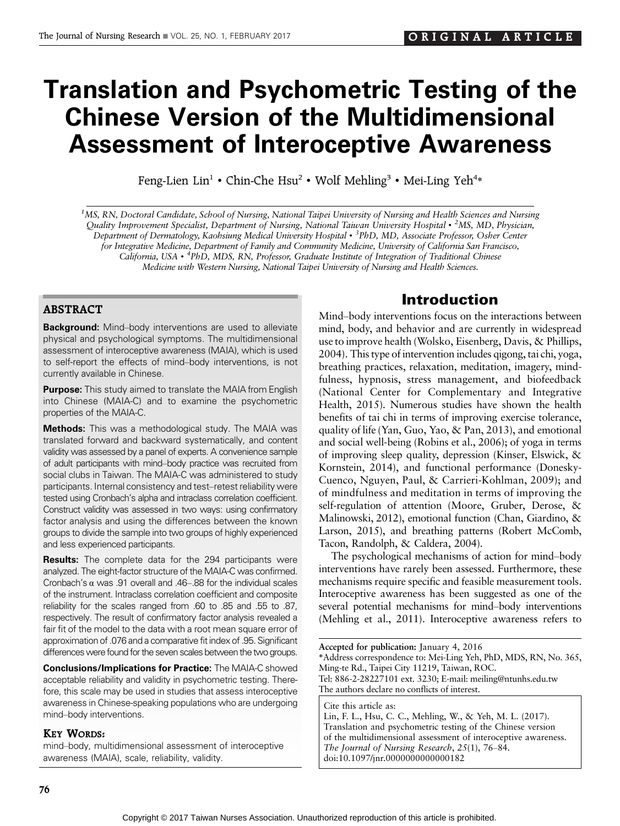# Translation and Psychometric Testing of the Chinese Version of the Multidimensional Assessment of Interoceptive Awareness

Feng-Lien Lin<sup>1</sup> • Chin-Che Hsu<sup>2</sup> • Wolf Mehling<sup>3</sup> • Mei-Ling Yeh<sup>4\*</sup>

<sup>1</sup>MS, RN, Doctoral Candidate, School of Nursing, National Taipei University of Nursing and Health Sciences and Nursing Quality Improvement Specialist, Department of Nursing, National Taiwan University Hospital • <sup>2</sup>MS, MD, Physician, Department of Dermatology, Kaohsiung Medical University Hospital • <sup>3</sup>PhD, MD, Associate Professor, Osher Center for Integrative Medicine, Department of Family and Community Medicine, University of California San Francisco, California, USA · <sup>4</sup>PhD, MDS, RN, Professor, Graduate Institute of Integration of Traditional Chinese Medicine with Western Nursing, National Taipei University of Nursing and Health Sciences.

#### ABSTRACT

Background: Mind-body interventions are used to alleviate physical and psychological symptoms. The multidimensional assessment of interoceptive awareness (MAIA), which is used to self-report the effects of mind-body interventions, is not currently available in Chinese.

**Purpose:** This study aimed to translate the MAIA from English into Chinese (MAIA-C) and to examine the psychometric properties of the MAIA-C.

**Methods:** This was a methodological study. The MAIA was translated forward and backward systematically, and content validity was assessed by a panel of experts. A convenience sample of adult participants with mind-body practice was recruited from social clubs in Taiwan. The MAIA-C was administered to study participants. Internal consistency and test-retest reliability were tested using Cronbach's alpha and intraclass correlation coefficient. Construct validity was assessed in two ways: using confirmatory factor analysis and using the differences between the known groups to divide the sample into two groups of highly experienced and less experienced participants.

Results: The complete data for the 294 participants were analyzed. The eight-factor structure of the MAIA-C was confirmed. Cronbach's  $\alpha$  was .91 overall and .46-.88 for the individual scales of the instrument. Intraclass correlation coefficient and composite reliability for the scales ranged from .60 to .85 and .55 to .87, respectively. The result of confirmatory factor analysis revealed a fair fit of the model to the data with a root mean square error of approximation of .076 and a comparative fit index of .95. Significant differences were found for the seven scales between the two groups.

Conclusions/Implications for Practice: The MAIA-C showed acceptable reliability and validity in psychometric testing. Therefore, this scale may be used in studies that assess interoceptive awareness in Chinese-speaking populations who are undergoing mind-body interventions.

#### KEY WORDS:

mind-body, multidimensional assessment of interoceptive awareness (MAIA), scale, reliability, validity.

## Introduction

Mind-body interventions focus on the interactions between mind, body, and behavior and are currently in widespread use to improve health (Wolsko, Eisenberg, Davis, & Phillips, 2004). This type of intervention includes qigong, tai chi, yoga, breathing practices, relaxation, meditation, imagery, mindfulness, hypnosis, stress management, and biofeedback (National Center for Complementary and Integrative Health, 2015). Numerous studies have shown the health benefits of tai chi in terms of improving exercise tolerance, quality of life (Yan, Guo, Yao, & Pan, 2013), and emotional and social well-being (Robins et al., 2006); of yoga in terms of improving sleep quality, depression (Kinser, Elswick, & Kornstein, 2014), and functional performance (Donesky-Cuenco, Nguyen, Paul, & Carrieri-Kohlman, 2009); and of mindfulness and meditation in terms of improving the self-regulation of attention (Moore, Gruber, Derose, & Malinowski, 2012), emotional function (Chan, Giardino, & Larson, 2015), and breathing patterns (Robert McComb, Tacon, Randolph, & Caldera, 2004).

The psychological mechanisms of action for mind-body interventions have rarely been assessed. Furthermore, these mechanisms require specific and feasible measurement tools. Interoceptive awareness has been suggested as one of the several potential mechanisms for mind-body interventions (Mehling et al., 2011). Interoceptive awareness refers to

Accepted for publication: January 4, 2016 \*Address correspondence to: Mei-Ling Yeh, PhD, MDS, RN, No. 365, Ming-te Rd., Taipei City 11219, Taiwan, ROC. Tel: 886-2-28227101 ext. 3230; E-mail: meiling@ntunhs.edu.tw The authors declare no conflicts of interest. Cite this article as:

Lin, F. L., Hsu, C. C., Mehling, W., & Yeh, M. L. (2017). Translation and psychometric testing of the Chinese version of the multidimensional assessment of interoceptive awareness. The Journal of Nursing Research,  $25(1)$ ,  $76-84$ . doi:10.1097/jnr.0000000000000182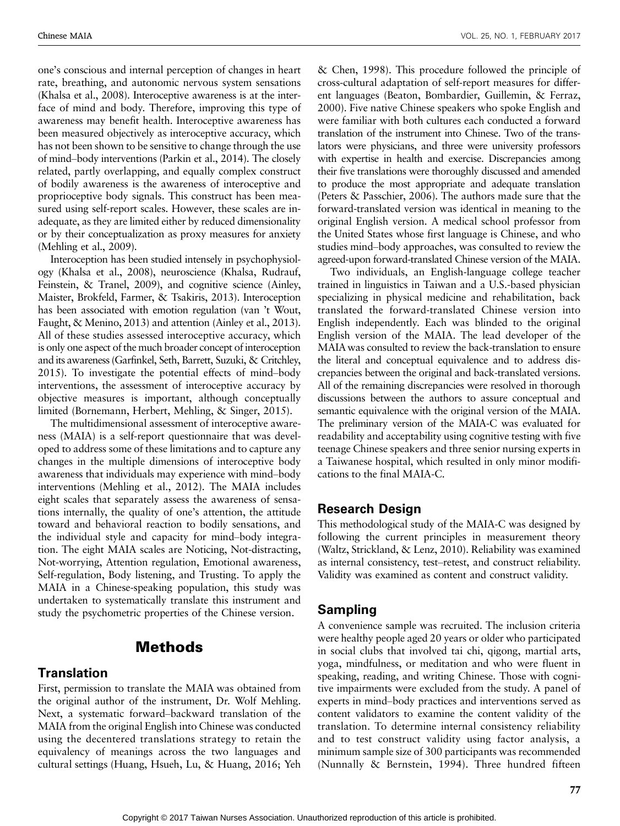one's conscious and internal perception of changes in heart rate, breathing, and autonomic nervous system sensations (Khalsa et al., 2008). Interoceptive awareness is at the interface of mind and body. Therefore, improving this type of awareness may benefit health. Interoceptive awareness has been measured objectively as interoceptive accuracy, which has not been shown to be sensitive to change through the use of mind-body interventions (Parkin et al., 2014). The closely related, partly overlapping, and equally complex construct of bodily awareness is the awareness of interoceptive and proprioceptive body signals. This construct has been measured using self-report scales. However, these scales are inadequate, as they are limited either by reduced dimensionality or by their conceptualization as proxy measures for anxiety (Mehling et al., 2009).

Interoception has been studied intensely in psychophysiology (Khalsa et al., 2008), neuroscience (Khalsa, Rudrauf, Feinstein, & Tranel, 2009), and cognitive science (Ainley, Maister, Brokfeld, Farmer, & Tsakiris, 2013). Interoception has been associated with emotion regulation (van 't Wout, Faught, & Menino, 2013) and attention (Ainley et al., 2013). All of these studies assessed interoceptive accuracy, which is only one aspect of the much broader concept of interoception and its awareness (Garfinkel, Seth, Barrett, Suzuki, & Critchley,  $2015$ ). To investigate the potential effects of mind-body interventions, the assessment of interoceptive accuracy by objective measures is important, although conceptually limited (Bornemann, Herbert, Mehling, & Singer, 2015).

The multidimensional assessment of interoceptive awareness (MAIA) is a self-report questionnaire that was developed to address some of these limitations and to capture any changes in the multiple dimensions of interoceptive body awareness that individuals may experience with mind-body interventions (Mehling et al., 2012). The MAIA includes eight scales that separately assess the awareness of sensations internally, the quality of one's attention, the attitude toward and behavioral reaction to bodily sensations, and the individual style and capacity for mind-body integration. The eight MAIA scales are Noticing, Not-distracting, Not-worrying, Attention regulation, Emotional awareness, Self-regulation, Body listening, and Trusting. To apply the MAIA in a Chinese-speaking population, this study was undertaken to systematically translate this instrument and study the psychometric properties of the Chinese version.

## Methods

#### **Translation**

First, permission to translate the MAIA was obtained from the original author of the instrument, Dr. Wolf Mehling. Next, a systematic forward-backward translation of the MAIA from the original English into Chinese was conducted using the decentered translations strategy to retain the equivalency of meanings across the two languages and cultural settings (Huang, Hsueh, Lu, & Huang, 2016; Yeh & Chen, 1998). This procedure followed the principle of cross-cultural adaptation of self-report measures for different languages (Beaton, Bombardier, Guillemin, & Ferraz, 2000). Five native Chinese speakers who spoke English and were familiar with both cultures each conducted a forward translation of the instrument into Chinese. Two of the translators were physicians, and three were university professors with expertise in health and exercise. Discrepancies among their five translations were thoroughly discussed and amended to produce the most appropriate and adequate translation (Peters & Passchier, 2006). The authors made sure that the forward-translated version was identical in meaning to the original English version. A medical school professor from the United States whose first language is Chinese, and who studies mind-body approaches, was consulted to review the agreed-upon forward-translated Chinese version of the MAIA.

Two individuals, an English-language college teacher trained in linguistics in Taiwan and a U.S.-based physician specializing in physical medicine and rehabilitation, back translated the forward-translated Chinese version into English independently. Each was blinded to the original English version of the MAIA. The lead developer of the MAIA was consulted to review the back-translation to ensure the literal and conceptual equivalence and to address discrepancies between the original and back-translated versions. All of the remaining discrepancies were resolved in thorough discussions between the authors to assure conceptual and semantic equivalence with the original version of the MAIA. The preliminary version of the MAIA-C was evaluated for readability and acceptability using cognitive testing with five teenage Chinese speakers and three senior nursing experts in a Taiwanese hospital, which resulted in only minor modifications to the final MAIA-C.

#### Research Design

This methodological study of the MAIA-C was designed by following the current principles in measurement theory (Waltz, Strickland, & Lenz, 2010). Reliability was examined as internal consistency, test-retest, and construct reliability. Validity was examined as content and construct validity.

#### Sampling

A convenience sample was recruited. The inclusion criteria were healthy people aged 20 years or older who participated in social clubs that involved tai chi, qigong, martial arts, yoga, mindfulness, or meditation and who were fluent in speaking, reading, and writing Chinese. Those with cognitive impairments were excluded from the study. A panel of experts in mind-body practices and interventions served as content validators to examine the content validity of the translation. To determine internal consistency reliability and to test construct validity using factor analysis, a minimum sample size of 300 participants was recommended (Nunnally & Bernstein, 1994). Three hundred fifteen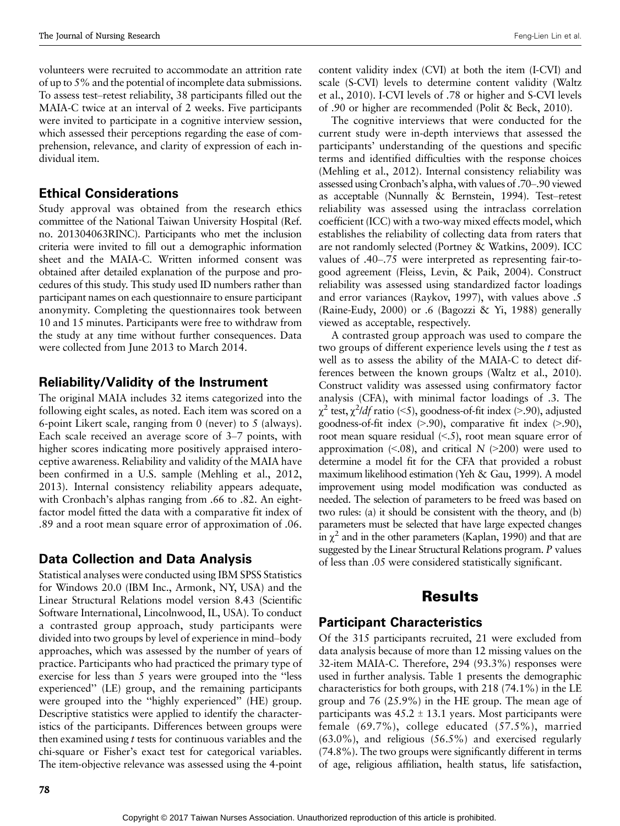volunteers were recruited to accommodate an attrition rate of up to 5% and the potential of incomplete data submissions. To assess test–retest reliability, 38 participants filled out the MAIA-C twice at an interval of 2 weeks. Five participants were invited to participate in a cognitive interview session, which assessed their perceptions regarding the ease of comprehension, relevance, and clarity of expression of each individual item.

#### Ethical Considerations

Study approval was obtained from the research ethics committee of the National Taiwan University Hospital (Ref. no. 201304063RINC). Participants who met the inclusion criteria were invited to fill out a demographic information sheet and the MAIA-C. Written informed consent was obtained after detailed explanation of the purpose and procedures of this study. This study used ID numbers rather than participant names on each questionnaire to ensure participant anonymity. Completing the questionnaires took between 10 and 15 minutes. Participants were free to withdraw from the study at any time without further consequences. Data were collected from June 2013 to March 2014.

#### Reliability/Validity of the Instrument

The original MAIA includes 32 items categorized into the following eight scales, as noted. Each item was scored on a 6-point Likert scale, ranging from 0 (never) to 5 (always). Each scale received an average score of  $3-7$  points, with higher scores indicating more positively appraised interoceptive awareness. Reliability and validity of the MAIA have been confirmed in a U.S. sample (Mehling et al., 2012, 2013). Internal consistency reliability appears adequate, with Cronbach's alphas ranging from .66 to .82. An eightfactor model fitted the data with a comparative fit index of .89 and a root mean square error of approximation of .06.

#### Data Collection and Data Analysis

Statistical analyses were conducted using IBM SPSS Statistics for Windows 20.0 (IBM Inc., Armonk, NY, USA) and the Linear Structural Relations model version 8.43 (Scientific Software International, Lincolnwood, IL, USA). To conduct a contrasted group approach, study participants were divided into two groups by level of experience in mind-body approaches, which was assessed by the number of years of practice. Participants who had practiced the primary type of exercise for less than 5 years were grouped into the ''less experienced'' (LE) group, and the remaining participants were grouped into the ''highly experienced'' (HE) group. Descriptive statistics were applied to identify the characteristics of the participants. Differences between groups were then examined using t tests for continuous variables and the chi-square or Fisher's exact test for categorical variables. The item-objective relevance was assessed using the 4-point content validity index (CVI) at both the item (I-CVI) and scale (S-CVI) levels to determine content validity (Waltz et al., 2010). I-CVI levels of .78 or higher and S-CVI levels of .90 or higher are recommended (Polit & Beck, 2010).

The cognitive interviews that were conducted for the current study were in-depth interviews that assessed the participants' understanding of the questions and specific terms and identified difficulties with the response choices (Mehling et al., 2012). Internal consistency reliability was assessed using Cronbach's alpha, with values of .70–.90 viewed as acceptable (Nunnally  $\&$  Bernstein, 1994). Test-retest reliability was assessed using the intraclass correlation coefficient (ICC) with a two-way mixed effects model, which establishes the reliability of collecting data from raters that are not randomly selected (Portney & Watkins, 2009). ICC values of .40–.75 were interpreted as representing fair-togood agreement (Fleiss, Levin, & Paik, 2004). Construct reliability was assessed using standardized factor loadings and error variances (Raykov, 1997), with values above .5 (Raine-Eudy, 2000) or .6 (Bagozzi & Yi, 1988) generally viewed as acceptable, respectively.

A contrasted group approach was used to compare the two groups of different experience levels using the t test as well as to assess the ability of the MAIA-C to detect differences between the known groups (Waltz et al., 2010). Construct validity was assessed using confirmatory factor analysis (CFA), with minimal factor loadings of .3. The  $\chi^2$  test,  $\chi^2$ /*df* ratio (<5), goodness-of-fit index (>.90), adjusted goodness-of-fit index  $(> 0.90)$ , comparative fit index  $(> 0.90)$ , root mean square residual  $\langle \leq S \rangle$ , root mean square error of approximation  $\langle 0.08 \rangle$ , and critical N  $\langle 0.200 \rangle$  were used to determine a model fit for the CFA that provided a robust maximum likelihood estimation (Yeh & Gau, 1999). A model improvement using model modification was conducted as needed. The selection of parameters to be freed was based on two rules: (a) it should be consistent with the theory, and (b) parameters must be selected that have large expected changes in  $\chi^2$  and in the other parameters (Kaplan, 1990) and that are suggested by the Linear Structural Relations program. P values of less than .05 were considered statistically significant.

## Results

#### Participant Characteristics

Of the 315 participants recruited, 21 were excluded from data analysis because of more than 12 missing values on the 32-item MAIA-C. Therefore, 294 (93.3%) responses were used in further analysis. Table 1 presents the demographic characteristics for both groups, with 218 (74.1%) in the LE group and 76 (25.9%) in the HE group. The mean age of participants was  $45.2 \pm 13.1$  years. Most participants were female (69.7%), college educated (57.5%), married (63.0%), and religious (56.5%) and exercised regularly (74.8%). The two groups were significantly different in terms of age, religious affiliation, health status, life satisfaction,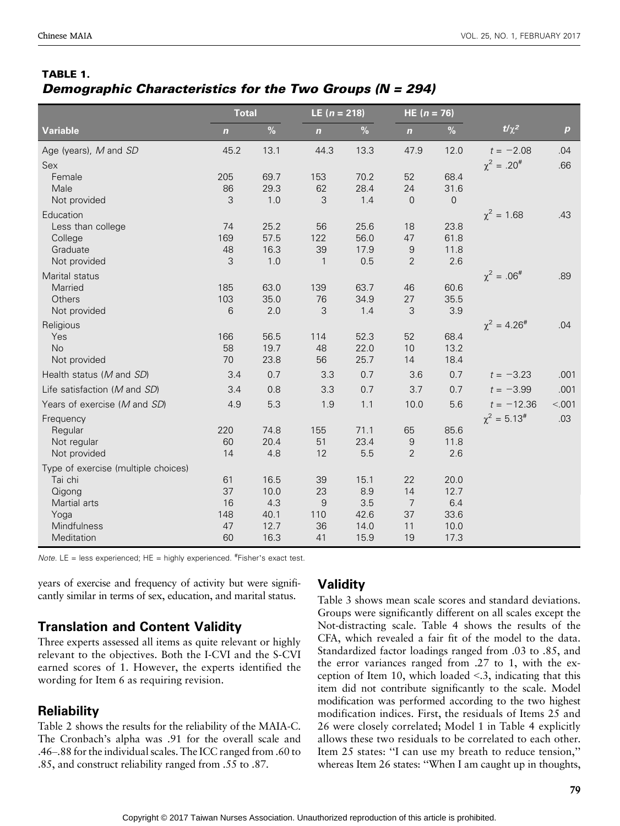#### TABLE 1. Demographic Characteristics for the Two Groups (N = 294)

|                                     | <b>Total</b> |              |              | LE $(n = 218)$ |                  | HE $(n = 76)$  |                      |                  |
|-------------------------------------|--------------|--------------|--------------|----------------|------------------|----------------|----------------------|------------------|
| <b>Variable</b>                     | $\mathbf n$  | $\%$         | $\mathbf n$  | $\%$           | $\mathbf n$      | $\%$           | $t/\chi^2$           | $\boldsymbol{p}$ |
| Age (years), M and SD               | 45.2         | 13.1         | 44.3         | 13.3           | 47.9             | 12.0           | $t = -2.08$          | .04              |
| Sex                                 |              |              |              |                |                  |                | $\chi^2 = .20^{\#}$  | .66              |
| Female                              | 205          | 69.7         | 153          | 70.2           | 52               | 68.4           |                      |                  |
| Male                                | 86           | 29.3         | 62           | 28.4           | 24               | 31.6           |                      |                  |
| Not provided                        | 3            | 1.0          | 3            | 1.4            | $\overline{0}$   | $\overline{0}$ |                      |                  |
| Education                           |              |              |              |                |                  |                | $\chi^2 = 1.68$      | .43              |
| Less than college                   | 74           | 25.2         | 56           | 25.6           | 18               | 23.8           |                      |                  |
| College                             | 169          | 57.5         | 122          | 56.0           | 47               | 61.8           |                      |                  |
| Graduate                            | 48           | 16.3         | 39           | 17.9           | $\boldsymbol{9}$ | 11.8           |                      |                  |
| Not provided                        | 3            | 1.0          | $\mathbf{1}$ | 0.5            | $\overline{2}$   | 2.6            |                      |                  |
| Marital status                      |              |              |              |                |                  |                | $\chi^2 = .06^{\#}$  | .89              |
| Married                             | 185          | 63.0         | 139          | 63.7           | 46               | 60.6           |                      |                  |
| Others                              | 103<br>6     | 35.0<br>2.0  | 76<br>3      | 34.9<br>1.4    | 27<br>3          | 35.5<br>3.9    |                      |                  |
| Not provided                        |              |              |              |                |                  |                |                      |                  |
| Religious                           |              |              |              |                |                  |                | $\chi^2 = 4.26^{\#}$ | .04              |
| Yes<br><b>No</b>                    | 166<br>58    | 56.5<br>19.7 | 114<br>48    | 52.3<br>22.0   | 52<br>10         | 68.4<br>13.2   |                      |                  |
| Not provided                        | 70           | 23.8         | 56           | 25.7           | 14               | 18.4           |                      |                  |
| Health status (M and SD)            | 3.4          | 0.7          | 3.3          | 0.7            | 3.6              | 0.7            | $t = -3.23$          | .001             |
| Life satisfaction (M and SD)        | 3.4          | 0.8          | 3.3          | 0.7            | 3.7              | 0.7            | $t = -3.99$          | .001             |
| Years of exercise (M and SD)        | 4.9          | 5.3          | 1.9          | 1.1            | 10.0             | 5.6            | $t = -12.36$         | < 001            |
|                                     |              |              |              |                |                  |                | $\chi^2 = 5.13^{\#}$ |                  |
| Frequency<br>Regular                | 220          | 74.8         | 155          | 71.1           | 65               | 85.6           |                      | .03              |
| Not regular                         | 60           | 20.4         | 51           | 23.4           | $\boldsymbol{9}$ | 11.8           |                      |                  |
| Not provided                        | 14           | 4.8          | 12           | 5.5            | $\overline{2}$   | 2.6            |                      |                  |
| Type of exercise (multiple choices) |              |              |              |                |                  |                |                      |                  |
| Tai chi                             | 61           | 16.5         | 39           | 15.1           | 22               | 20.0           |                      |                  |
| Qigong                              | 37           | 10.0         | 23           | 8.9            | 14               | 12.7           |                      |                  |
| Martial arts                        | 16           | 4.3          | 9            | 3.5            | $\overline{7}$   | 6.4            |                      |                  |
| Yoga                                | 148          | 40.1         | 110          | 42.6           | 37               | 33.6           |                      |                  |
| Mindfulness                         | 47           | 12.7         | 36           | 14.0           | 11               | 10.0           |                      |                  |
| Meditation                          | 60           | 16.3         | 41           | 15.9           | 19               | 17.3           |                      |                  |

Note. LE = less experienced;  $HE =$  highly experienced.  $#Fisher's$  exact test.

years of exercise and frequency of activity but were significantly similar in terms of sex, education, and marital status.

#### Translation and Content Validity

Three experts assessed all items as quite relevant or highly relevant to the objectives. Both the I-CVI and the S-CVI earned scores of 1. However, the experts identified the wording for Item 6 as requiring revision.

#### **Reliability**

Table 2 shows the results for the reliability of the MAIA-C. The Cronbach's alpha was .91 for the overall scale and .46-.88 for the individual scales. The ICC ranged from .60 to .85, and construct reliability ranged from .55 to .87.

#### **Validity**

Table 3 shows mean scale scores and standard deviations. Groups were significantly different on all scales except the Not-distracting scale. Table 4 shows the results of the CFA, which revealed a fair fit of the model to the data. Standardized factor loadings ranged from .03 to .85, and the error variances ranged from .27 to 1, with the exception of Item 10, which loaded  $\leq$ .3, indicating that this item did not contribute significantly to the scale. Model modification was performed according to the two highest modification indices. First, the residuals of Items 25 and 26 were closely correlated; Model 1 in Table 4 explicitly allows these two residuals to be correlated to each other. Item 25 states: ''I can use my breath to reduce tension,'' whereas Item 26 states: "When I am caught up in thoughts,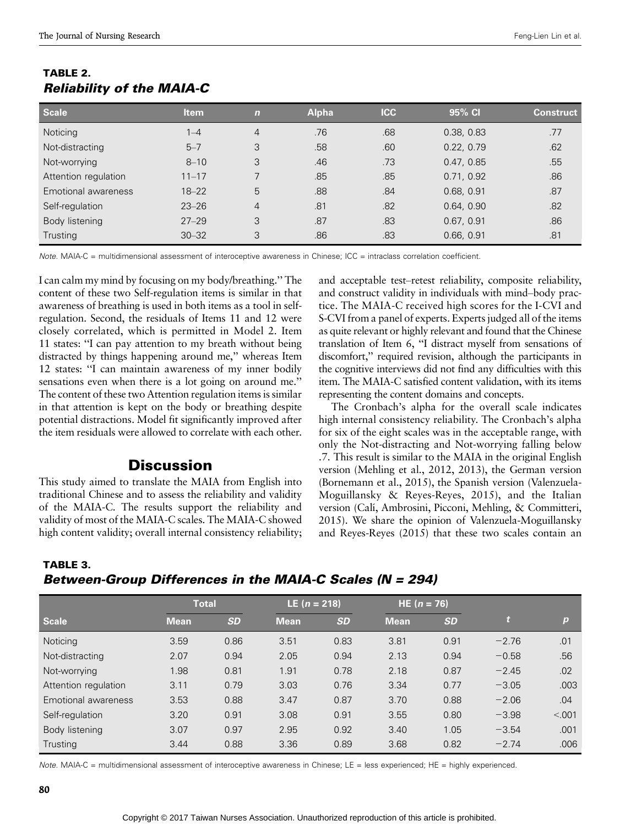| <b>Scale</b>         | <b>Item</b> | $\mathbf n$    | <b>Alpha</b> | <b>ICC</b> | 95% CI     | <b>Construct</b> |
|----------------------|-------------|----------------|--------------|------------|------------|------------------|
| <b>Noticing</b>      | $1 - 4$     | $\overline{4}$ | .76          | .68        | 0.38, 0.83 | .77              |
| Not-distracting      | $5 - 7$     | 3              | .58          | .60        | 0.22, 0.79 | .62              |
| Not-worrying         | $8 - 10$    | 3              | .46          | .73        | 0.47, 0.85 | .55              |
| Attention regulation | $11 - 17$   |                | .85          | .85        | 0.71, 0.92 | .86              |
| Emotional awareness  | $18 - 22$   | 5              | .88          | .84        | 0.68, 0.91 | .87              |
| Self-regulation      | $23 - 26$   | $\overline{4}$ | .81          | .82        | 0.64, 0.90 | .82              |
| Body listening       | $27 - 29$   | 3              | .87          | .83        | 0.67, 0.91 | .86              |
| Trusting             | $30 - 32$   | 3              | .86          | .83        | 0.66, 0.91 | .81              |

#### TABLE 2. Reliability of the MAIA-C

Note. MAIA-C = multidimensional assessment of interoceptive awareness in Chinese; ICC = intraclass correlation coefficient.

I can calm my mind by focusing on my body/breathing.'' The content of these two Self-regulation items is similar in that awareness of breathing is used in both items as a tool in selfregulation. Second, the residuals of Items 11 and 12 were closely correlated, which is permitted in Model 2. Item 11 states: ''I can pay attention to my breath without being distracted by things happening around me,'' whereas Item 12 states: ''I can maintain awareness of my inner bodily sensations even when there is a lot going on around me.'' The content of these two Attention regulation items is similar in that attention is kept on the body or breathing despite potential distractions. Model fit significantly improved after the item residuals were allowed to correlate with each other.

## **Discussion**

This study aimed to translate the MAIA from English into traditional Chinese and to assess the reliability and validity of the MAIA-C. The results support the reliability and validity of most of the MAIA-C scales. The MAIA-C showed high content validity; overall internal consistency reliability; and acceptable test-retest reliability, composite reliability, and construct validity in individuals with mind-body practice. The MAIA-C received high scores for the I-CVI and S-CVI from a panel of experts. Experts judged all of the items as quite relevant or highly relevant and found that the Chinese translation of Item 6, ''I distract myself from sensations of discomfort,'' required revision, although the participants in the cognitive interviews did not find any difficulties with this item. The MAIA-C satisfied content validation, with its items representing the content domains and concepts.

The Cronbach's alpha for the overall scale indicates high internal consistency reliability. The Cronbach's alpha for six of the eight scales was in the acceptable range, with only the Not-distracting and Not-worrying falling below .7. This result is similar to the MAIA in the original English version (Mehling et al., 2012, 2013), the German version (Bornemann et al., 2015), the Spanish version (Valenzuela-Moguillansky & Reyes-Reyes, 2015), and the Italian version (Calı´, Ambrosini, Picconi, Mehling, & Committeri, 2015). We share the opinion of Valenzuela-Moguillansky and Reyes-Reyes (2015) that these two scales contain an

TABLE 3.

Between-Group Differences in the MAIA-C Scales (N = 294)

|                      | <b>Total</b> |           | LE $(n = 218)$ |           | $HE(n = 76)$ |           |         |                  |
|----------------------|--------------|-----------|----------------|-----------|--------------|-----------|---------|------------------|
| <b>Scale</b>         | <b>Mean</b>  | <b>SD</b> | <b>Mean</b>    | <b>SD</b> | <b>Mean</b>  | <b>SD</b> |         | $\boldsymbol{p}$ |
| Noticing             | 3.59         | 0.86      | 3.51           | 0.83      | 3.81         | 0.91      | $-2.76$ | .01              |
| Not-distracting      | 2.07         | 0.94      | 2.05           | 0.94      | 2.13         | 0.94      | $-0.58$ | .56              |
| Not-worrying         | 1.98         | 0.81      | 1.91           | 0.78      | 2.18         | 0.87      | $-2.45$ | .02              |
| Attention regulation | 3.11         | 0.79      | 3.03           | 0.76      | 3.34         | 0.77      | $-3.05$ | .003             |
| Emotional awareness  | 3.53         | 0.88      | 3.47           | 0.87      | 3.70         | 0.88      | $-2.06$ | .04              |
| Self-regulation      | 3.20         | 0.91      | 3.08           | 0.91      | 3.55         | 0.80      | $-3.98$ | < 0.001          |
| Body listening       | 3.07         | 0.97      | 2.95           | 0.92      | 3.40         | 1.05      | $-3.54$ | .001             |
| Trusting             | 3.44         | 0.88      | 3.36           | 0.89      | 3.68         | 0.82      | $-2.74$ | .006             |

Note. MAIA-C = multidimensional assessment of interoceptive awareness in Chinese; LE = less experienced; HE = highly experienced.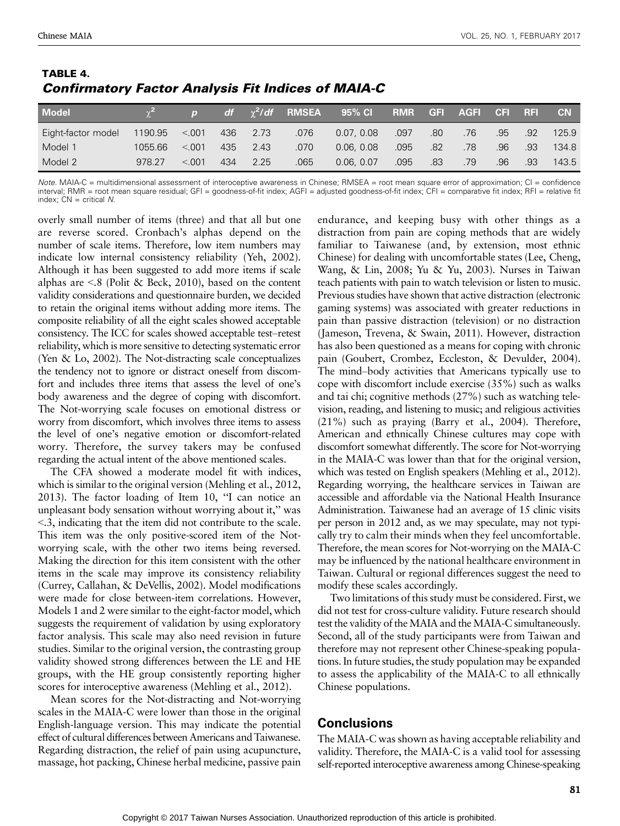| <b>Model</b>       |         | $\sqrt{p}$ |     |          |      | $df = \chi^2/df$ RMSEA 95% Cl |      |     | RMR GFI AGFI CFI RFI |     |     | <b>CN</b> |
|--------------------|---------|------------|-----|----------|------|-------------------------------|------|-----|----------------------|-----|-----|-----------|
| Eight-factor model | 1190.95 | < 0.001    |     | 436 2.73 | .076 | 0.07.0.08                     | .097 | .80 | .76                  | .95 | 92  | 125.9     |
| Model 1            | 1055.66 | < 0.01     | 435 | 2.43     | .070 | 0.06, 0.08                    | .095 | .82 | .78                  | .96 | .93 | 134.8     |
| Model 2            | 978.27  | < 0.01     | 434 | 2.25     | .065 | 0.06. 0.07                    | .095 | .83 | .79                  | .96 | .93 | 143.5     |

#### TABLE 4. Confirmatory Factor Analysis Fit Indices of MAIA-C

Note. MAIA-C = multidimensional assessment of interoceptive awareness in Chinese; RMSEA = root mean square error of approximation; CI = confidence interval; RMR = root mean square residual; GFI = goodness-of-fit index; AGFI = adjusted goodness-of-fit index; CFI = comparative fit index; RFI = relative fit index:  $CN =$  critical  $N$ .

overly small number of items (three) and that all but one are reverse scored. Cronbach's alphas depend on the number of scale items. Therefore, low item numbers may indicate low internal consistency reliability (Yeh, 2002). Although it has been suggested to add more items if scale alphas are  $\leq$ .8 (Polit & Beck, 2010), based on the content validity considerations and questionnaire burden, we decided to retain the original items without adding more items. The composite reliability of all the eight scales showed acceptable consistency. The ICC for scales showed acceptable test-retest reliability, which is more sensitive to detecting systematic error (Yen & Lo, 2002). The Not-distracting scale conceptualizes the tendency not to ignore or distract oneself from discomfort and includes three items that assess the level of one's body awareness and the degree of coping with discomfort. The Not-worrying scale focuses on emotional distress or worry from discomfort, which involves three items to assess the level of one's negative emotion or discomfort-related worry. Therefore, the survey takers may be confused regarding the actual intent of the above mentioned scales.

The CFA showed a moderate model fit with indices, which is similar to the original version (Mehling et al., 2012, 2013). The factor loading of Item 10, ''I can notice an unpleasant body sensation without worrying about it,'' was G.3, indicating that the item did not contribute to the scale. This item was the only positive-scored item of the Notworrying scale, with the other two items being reversed. Making the direction for this item consistent with the other items in the scale may improve its consistency reliability (Currey, Callahan, & DeVellis, 2002). Model modifications were made for close between-item correlations. However, Models 1 and 2 were similar to the eight-factor model, which suggests the requirement of validation by using exploratory factor analysis. This scale may also need revision in future studies. Similar to the original version, the contrasting group validity showed strong differences between the LE and HE groups, with the HE group consistently reporting higher scores for interoceptive awareness (Mehling et al., 2012).

Mean scores for the Not-distracting and Not-worrying scales in the MAIA-C were lower than those in the original English-language version. This may indicate the potential effect of cultural differences between Americans and Taiwanese. Regarding distraction, the relief of pain using acupuncture, massage, hot packing, Chinese herbal medicine, passive pain endurance, and keeping busy with other things as a distraction from pain are coping methods that are widely familiar to Taiwanese (and, by extension, most ethnic Chinese) for dealing with uncomfortable states (Lee, Cheng, Wang, & Lin, 2008; Yu & Yu, 2003). Nurses in Taiwan teach patients with pain to watch television or listen to music. Previous studies have shown that active distraction (electronic gaming systems) was associated with greater reductions in pain than passive distraction (television) or no distraction (Jameson, Trevena, & Swain, 2011). However, distraction has also been questioned as a means for coping with chronic pain (Goubert, Crombez, Eccleston, & Devulder, 2004). The mind-body activities that Americans typically use to cope with discomfort include exercise (35%) such as walks and tai chi; cognitive methods (27%) such as watching television, reading, and listening to music; and religious activities (21%) such as praying (Barry et al., 2004). Therefore, American and ethnically Chinese cultures may cope with discomfort somewhat differently. The score for Not-worrying in the MAIA-C was lower than that for the original version, which was tested on English speakers (Mehling et al., 2012). Regarding worrying, the healthcare services in Taiwan are accessible and affordable via the National Health Insurance Administration. Taiwanese had an average of 15 clinic visits per person in 2012 and, as we may speculate, may not typically try to calm their minds when they feel uncomfortable. Therefore, the mean scores for Not-worrying on the MAIA-C may be influenced by the national healthcare environment in Taiwan. Cultural or regional differences suggest the need to modify these scales accordingly.

Two limitations of this study must be considered. First, we did not test for cross-culture validity. Future research should test the validity of the MAIA and the MAIA-C simultaneously. Second, all of the study participants were from Taiwan and therefore may not represent other Chinese-speaking populations. In future studies, the study population may be expanded to assess the applicability of the MAIA-C to all ethnically Chinese populations.

#### Conclusions

The MAIA-C was shown as having acceptable reliability and validity. Therefore, the MAIA-C is a valid tool for assessing self-reported interoceptive awareness among Chinese-speaking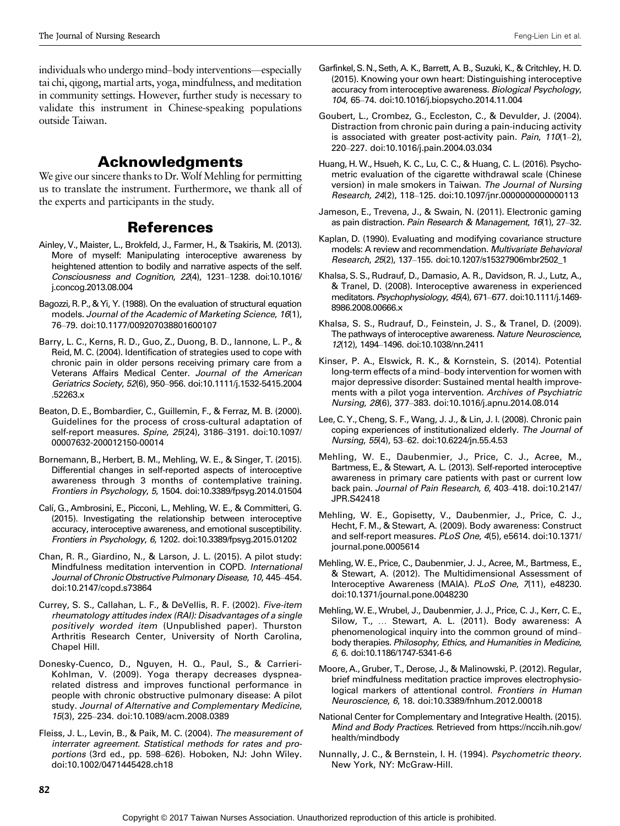individuals who undergo mind-body interventions—especially tai chi, qigong, martial arts, yoga, mindfulness, and meditation in community settings. However, further study is necessary to validate this instrument in Chinese-speaking populations outside Taiwan.

## Acknowledgments

We give our sincere thanks to Dr. Wolf Mehling for permitting us to translate the instrument. Furthermore, we thank all of the experts and participants in the study.

## References

- Ainley, V., Maister, L., Brokfeld, J., Farmer, H., & Tsakiris, M. (2013). More of myself: Manipulating interoceptive awareness by heightened attention to bodily and narrative aspects of the self. Consciousness and Cognition, 22(4), 1231-1238. doi:10.1016/ j.concog.2013.08.004
- Bagozzi, R. P., & Yi, Y. (1988). On the evaluation of structural equation models. Journal of the Academic of Marketing Science, 16(1), 76-79. doi:10.1177/009207038801600107
- Barry, L. C., Kerns, R. D., Guo, Z., Duong, B. D., Iannone, L. P., & Reid, M. C. (2004). Identification of strategies used to cope with chronic pain in older persons receiving primary care from a Veterans Affairs Medical Center. Journal of the American Geriatrics Society, 52(6), 950-956. doi:10.1111/j.1532-5415.2004 .52263.x
- Beaton, D. E., Bombardier, C., Guillemin, F., & Ferraz, M. B. (2000). Guidelines for the process of cross-cultural adaptation of self-report measures. Spine, 25(24), 3186-3191. doi:10.1097/ 00007632-200012150-00014
- Bornemann, B., Herbert, B. M., Mehling, W. E., & Singer, T. (2015). Differential changes in self-reported aspects of interoceptive awareness through 3 months of contemplative training. Frontiers in Psychology, 5, 1504. doi:10.3389/fpsyg.2014.01504
- Calí, G., Ambrosini, E., Picconi, L., Mehling, W. E., & Committeri, G. (2015). Investigating the relationship between interoceptive accuracy, interoceptive awareness, and emotional susceptibility. Frontiers in Psychology, 6, 1202. doi:10.3389/fpsyg.2015.01202
- Chan, R. R., Giardino, N., & Larson, J. L. (2015). A pilot study: Mindfulness meditation intervention in COPD. International Journal of Chronic Obstructive Pulmonary Disease, 10, 445-454. doi:10.2147/copd.s73864
- Currey, S. S., Callahan, L. F., & DeVellis, R. F. (2002). Five-item rheumatology attitudes index (RAI): Disadvantages of a single positively worded item (Unpublished paper). Thurston Arthritis Research Center, University of North Carolina, Chapel Hill.
- Donesky-Cuenco, D., Nguyen, H. Q., Paul, S., & Carrieri-Kohlman, V. (2009). Yoga therapy decreases dyspnearelated distress and improves functional performance in people with chronic obstructive pulmonary disease: A pilot study. Journal of Alternative and Complementary Medicine, 15(3), 225-234. doi:10.1089/acm.2008.0389
- Fleiss, J. L., Levin, B., & Paik, M. C. (2004). The measurement of interrater agreement. Statistical methods for rates and proportions (3rd ed., pp. 598–626). Hoboken, NJ: John Wiley. doi:10.1002/0471445428.ch18
- Garfinkel, S. N., Seth, A. K., Barrett, A. B., Suzuki, K., & Critchley, H. D. (2015). Knowing your own heart: Distinguishing interoceptive accuracy from interoceptive awareness. Biological Psychology, 104, 65-74. doi:10.1016/j.biopsycho.2014.11.004
- Goubert, L., Crombez, G., Eccleston, C., & Devulder, J. (2004). Distraction from chronic pain during a pain-inducing activity is associated with greater post-activity pain. Pain,  $110(1-2)$ , 220-227. doi:10.1016/j.pain.2004.03.034
- Huang, H. W., Hsueh, K. C., Lu, C. C., & Huang, C. L. (2016). Psychometric evaluation of the cigarette withdrawal scale (Chinese version) in male smokers in Taiwan. The Journal of Nursing Research, 24(2), 118-125. doi:10.1097/jnr.0000000000000113
- Jameson, E., Trevena, J., & Swain, N. (2011). Electronic gaming as pain distraction. Pain Research & Management, 16(1), 27-32.
- Kaplan, D. (1990). Evaluating and modifying covariance structure models: A review and recommendation. Multivariate Behavioral Research, 25(2), 137-155. doi:10.1207/s15327906mbr2502\_1
- Khalsa, S. S., Rudrauf, D., Damasio, A. R., Davidson, R. J., Lutz, A., & Tranel, D. (2008). Interoceptive awareness in experienced meditators. Psychophysiology, 45(4), 671-677. doi:10.1111/j.1469-8986.2008.00666.x
- Khalsa, S. S., Rudrauf, D., Feinstein, J. S., & Tranel, D. (2009). The pathways of interoceptive awareness. Nature Neuroscience, 12(12), 1494-1496. doi:10.1038/nn.2411
- Kinser, P. A., Elswick, R. K., & Kornstein, S. (2014). Potential long-term effects of a mind-body intervention for women with major depressive disorder: Sustained mental health improvements with a pilot yoga intervention. Archives of Psychiatric Nursing, 28(6), 377–383. doi:10.1016/j.apnu.2014.08.014
- Lee, C. Y., Cheng, S. F., Wang, J. J., & Lin, J. I. (2008). Chronic pain coping experiences of institutionalized elderly. The Journal of Nursing, 55(4), 53-62. doi:10.6224/jn.55.4.53
- Mehling, W. E., Daubenmier, J., Price, C. J., Acree, M., Bartmess, E., & Stewart, A. L. (2013). Self-reported interoceptive awareness in primary care patients with past or current low back pain. Journal of Pain Research, 6, 403-418. doi:10.2147/ JPR.S42418
- Mehling, W. E., Gopisetty, V., Daubenmier, J., Price, C. J., Hecht, F. M., & Stewart, A. (2009). Body awareness: Construct and self-report measures. PLoS One, 4(5), e5614. doi:10.1371/ journal.pone.0005614
- Mehling, W. E., Price, C., Daubenmier, J. J., Acree, M., Bartmess, E., & Stewart, A. (2012). The Multidimensional Assessment of Interoceptive Awareness (MAIA). PLoS One, 7(11), e48230. doi:10.1371/journal.pone.0048230
- Mehling,W. E.,Wrubel, J., Daubenmier, J. J., Price, C. J., Kerr, C. E., Silow, T., ... Stewart, A. L. (2011). Body awareness: A phenomenological inquiry into the common ground of mindbody therapies. Philosophy, Ethics, and Humanities in Medicine, 6, 6. doi:10.1186/1747-5341-6-6
- Moore, A., Gruber, T., Derose, J., & Malinowski, P. (2012). Regular, brief mindfulness meditation practice improves electrophysiological markers of attentional control. Frontiers in Human Neuroscience, 6, 18. doi:10.3389/fnhum.2012.00018
- National Center for Complementary and Integrative Health. (2015). Mind and Body Practices. Retrieved from [https://nccih.nih.gov/](https://nccih.nih.gov/health/mindbody) [health/mindbody](https://nccih.nih.gov/health/mindbody)
- Nunnally, J. C., & Bernstein, I. H. (1994). Psychometric theory. New York, NY: McGraw-Hill.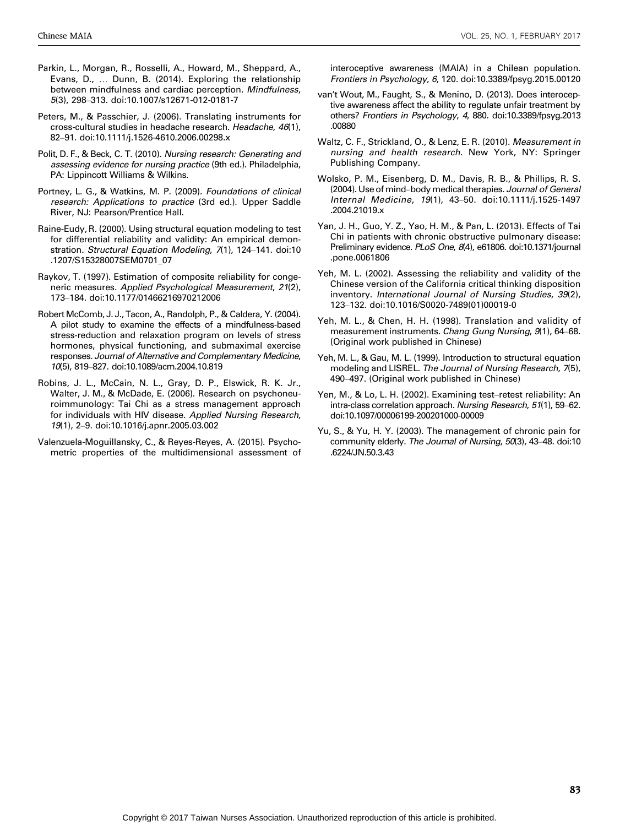- Parkin, L., Morgan, R., Rosselli, A., Howard, M., Sheppard, A., Evans, D., ... Dunn, B. (2014). Exploring the relationship between mindfulness and cardiac perception. Mindfulness, 5(3), 298-313. doi:10.1007/s12671-012-0181-7
- Peters, M., & Passchier, J. (2006). Translating instruments for cross-cultural studies in headache research. Headache, 46(1), 82-91. doi:10.1111/j.1526-4610.2006.00298.x
- Polit, D. F., & Beck, C. T. (2010). Nursing research: Generating and assessing evidence for nursing practice (9th ed.). Philadelphia, PA: Lippincott Williams & Wilkins.
- Portney, L. G., & Watkins, M. P. (2009). Foundations of clinical research: Applications to practice (3rd ed.). Upper Saddle River, NJ: Pearson/Prentice Hall.
- Raine-Eudy, R. (2000). Using structural equation modeling to test for differential reliability and validity: An empirical demonstration. Structural Equation Modeling, 7(1), 124-141. doi:10 .1207/S15328007SEM0701\_07
- Raykov, T. (1997). Estimation of composite reliability for congeneric measures. Applied Psychological Measurement, 21(2), 173-184. doi:10.1177/01466216970212006
- Robert McComb, J. J., Tacon, A., Randolph, P., & Caldera, Y. (2004). A pilot study to examine the effects of a mindfulness-based stress-reduction and relaxation program on levels of stress hormones, physical functioning, and submaximal exercise responses. Journal of Alternative and Complementary Medicine, 10(5), 819-827. doi:10.1089/acm.2004.10.819
- Robins, J. L., McCain, N. L., Gray, D. P., Elswick, R. K. Jr., Walter, J. M., & McDade, E. (2006). Research on psychoneuroimmunology: Tai Chi as a stress management approach for individuals with HIV disease. Applied Nursing Research, 19(1), 2-9. doi:10.1016/j.apnr.2005.03.002
- Valenzuela-Moguillansky, C., & Reyes-Reyes, A. (2015). Psychometric properties of the multidimensional assessment of

interoceptive awareness (MAIA) in a Chilean population. Frontiers in Psychology, 6, 120. doi:10.3389/fpsyg.2015.00120

- van't Wout, M., Faught, S., & Menino, D. (2013). Does interoceptive awareness affect the ability to regulate unfair treatment by others? Frontiers in Psychology, 4, 880. doi:10.3389/fpsyg.2013 .00880
- Waltz, C. F., Strickland, O., & Lenz, E. R. (2010). Measurement in nursing and health research. New York, NY: Springer Publishing Company.
- Wolsko, P. M., Eisenberg, D. M., Davis, R. B., & Phillips, R. S. (2004). Use of mind-body medical therapies. Journal of General Internal Medicine, 19(1), 43-50. doi:10.1111/j.1525-1497 .2004.21019.x
- Yan, J. H., Guo, Y. Z., Yao, H. M., & Pan, L. (2013). Effects of Tai Chi in patients with chronic obstructive pulmonary disease: Preliminary evidence. PLoS One, 8(4), e61806. doi:10.1371/journal .pone.0061806
- Yeh, M. L. (2002). Assessing the reliability and validity of the Chinese version of the California critical thinking disposition inventory. International Journal of Nursing Studies, 39(2), 123Y132. doi:10.1016/S0020-7489(01)00019-0
- Yeh, M. L., & Chen, H. H. (1998). Translation and validity of measurement instruments. Chang Gung Nursing, 9(1), 64-68. (Original work published in Chinese)
- Yeh, M. L., & Gau, M. L. (1999). Introduction to structural equation modeling and LISREL. The Journal of Nursing Research, 7(5), 490–497. (Original work published in Chinese)
- Yen, M., & Lo, L. H. (2002). Examining test-retest reliability: An intra-class correlation approach. Nursing Research, 51(1), 59-62. doi:10.1097/00006199-200201000-00009
- Yu, S., & Yu, H. Y. (2003). The management of chronic pain for community elderly. The Journal of Nursing, 50(3), 43-48. doi:10 .6224/JN.50.3.43